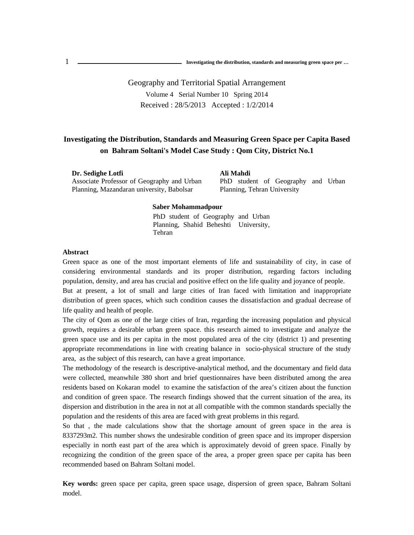.<br>I <sup>1</sup> **Investigating the distribution, standards and measuring green space per …**

> Geography and Territorial Spatial Arrangement Volume 4 Serial Number 10 Spring 2014 Received : 28/5/2013 Accepted : 1/2/2014

## **Investigating the Distribution, Standards and Measuring Green Space per Capita Based on Bahram Soltani's Model Case Study : Qom City, District No.1**

**Dr. Sedighe Lotfi** Associate Professor of Geography and Urban Planning, Mazandaran university, Babolsar

**Ali Mahdi** PhD student of Geography and Urban Planning, Tehran University

#### **Saber Mohammadpour**

PhD student of Geography and Urban Planning, Shahid Beheshti University, Tehran

### **Abstract**

Green space as one of the most important elements of life and sustainability of city, in case of considering environmental standards and its proper distribution, regarding factors including population, density, and area has crucial and positive effect on the life quality and joyance of people.

But at present, a lot of small and large cities of Iran faced with limitation and inappropriate distribution of green spaces, which such condition causes the dissatisfaction and gradual decrease of life quality and health of people.

The city of Qom as one of the large cities of Iran, regarding the increasing population and physical growth, requires a desirable urban green space. this research aimed to investigate and analyze the green space use and its per capita in the most populated area of the city (district 1) and presenting appropriate recommendations in line with creating balance in socio-physical structure of the study area, as the subject of this research, can have a great importance.

The methodology of the research is descriptive-analytical method, and the documentary and field data were collected, meanwhile 380 short and brief questionnaires have been distributed among the area residents based on Kokaran model to examine the satisfaction of the area's citizen about the function and condition of green space. The research findings showed that the current situation of the area, its dispersion and distribution in the area in not at all compatible with the common standards specially the population and the residents of this area are faced with great problems in this regard.

So that , the made calculations show that the shortage amount of green space in the area is 8337293m2. This number shows the undesirable condition of green space and its improper dispersion especially in north east part of the area which is approximately devoid of green space. Finally by recognizing the condition of the green space of the area, a proper green space per capita has been recommended based on Bahram Soltani model.

**Key words:** green space per capita, green space usage, dispersion of green space, Bahram Soltani model.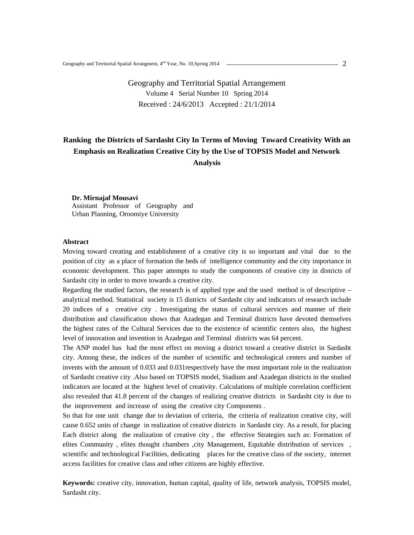## Geography and Territorial Spatial Arrangement Volume 4 Serial Number 10 Spring 2014 Received : 24/6/2013 Accepted : 21/1/2014

# **Ranking the Districts of Sardasht City In Terms of Moving Toward Creativity With an Emphasis on Realization Creative City by the Use of TOPSIS Model and Network Analysis**

**Dr. Mirnajaf Mousavi**  Assistant Professor of Geography and Urban Planning, Oroomiye University

#### **Abstract**

Moving toward creating and establishment of a creative city is so important and vital due to the position of city as a place of formation the beds of intelligence community and the city importance in economic development. This paper attempts to study the components of creative city in districts of Sardasht city in order to move towards a creative city.

Regarding the studied factors, the research is of applied type and the used method is of descriptive – analytical method. Statistical society is 15 districts of Sardasht city and indicators of research include 20 indices of a creative city . Investigating the status of cultural services and manner of their distribution and classification shows that Azadegan and Terminal districts have devoted themselves the highest rates of the Cultural Services due to the existence of scientific centers also, the highest level of innovation and invention in Azadegan and Terminal districts was 64 percent.

The ANP model has had the most effect on moving a district toward a creative district in Sardasht city. Among these, the indices of the number of scientific and technological centers and number of invents with the amount of 0.033 and 0.031respectively have the most important role in the realization of Sardasht creative city .Also based on TOPSIS model, Stadium and Azadegan districts in the studied indicators are located at the highest level of creativity. Calculations of multiple correlation coefficient also revealed that 41.8 percent of the changes of realizing creative districts in Sardasht city is due to the improvement and increase of using the creative city Components .

So that for one unit change due to deviation of criteria, the criteria of realization creative city, will cause 0.652 units of change in realization of creative districts in Sardasht city. As a result, for placing Each district along the realization of creative city , the effective Strategies such as: Formation of elites Community, elites thought chambers, city Management, Equitable distribution of services, scientific and technological Facilities, dedicating places for the creative class of the society, internet access facilities for creative class and other citizens are highly effective.

**Keywords:** creative city, innovation, human capital, quality of life, network analysis, TOPSIS model, Sardasht city.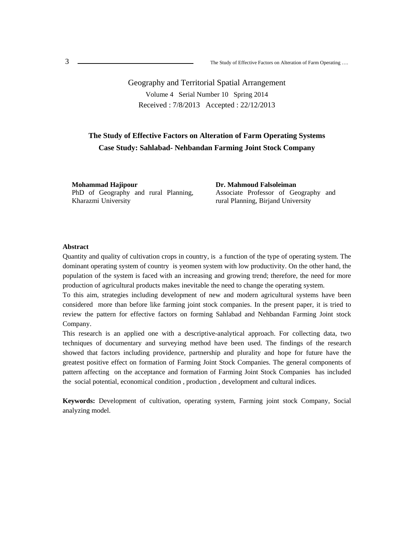Geography and Territorial Spatial Arrangement Volume 4 Serial Number 10 Spring 2014 Received : 7/8/2013 Accepted : 22/12/2013

## **The Study of Effective Factors on Alteration of Farm Operating Systems Case Study: Sahlabad- Nehbandan Farming Joint Stock Company**

**Mohammad Hajipour**  PhD of Geography and rural Planning, Kharazmi University

**Dr. Mahmoud Falsoleiman**  Associate Professor of Geography and rural Planning, Birjand University

### **Abstract**

Quantity and quality of cultivation crops in country, is a function of the type of operating system. The dominant operating system of country is yeomen system with low productivity. On the other hand, the population of the system is faced with an increasing and growing trend; therefore, the need for more production of agricultural products makes inevitable the need to change the operating system.

To this aim, strategies including development of new and modern agricultural systems have been considered more than before like farming joint stock companies. In the present paper, it is tried to review the pattern for effective factors on forming Sahlabad and Nehbandan Farming Joint stock Company.

This research is an applied one with a descriptive-analytical approach. For collecting data, two techniques of documentary and surveying method have been used. The findings of the research showed that factors including providence, partnership and plurality and hope for future have the greatest positive effect on formation of Farming Joint Stock Companies. The general components of pattern affecting on the acceptance and formation of Farming Joint Stock Companies has included the social potential, economical condition , production , development and cultural indices.

**Keywords:** Development of cultivation, operating system, Farming joint stock Company, Social analyzing model.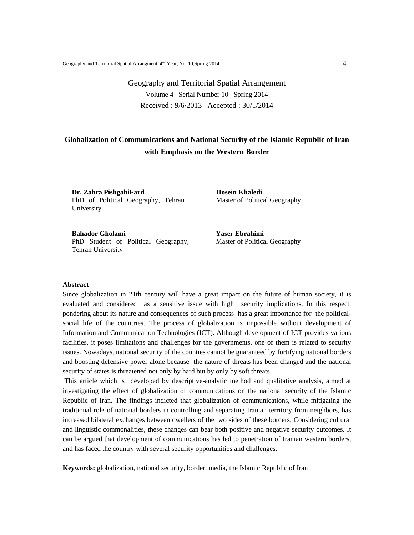# Geography and Territorial Spatial Arrangement Volume 4 Serial Number 10 Spring 2014 Received : 9/6/2013 Accepted : 30/1/2014

## **Globalization of Communications and National Security of the Islamic Republic of Iran with Emphasis on the Western Border**

**Dr. Zahra PishgahiFard**  PhD of Political Geography, Tehran University

**Hosein Khaledi**  Master of Political Geography

**Bahador Gholami**  PhD Student of Political Geography, Tehran University

**Yaser Ebrahimi**  Master of Political Geography

#### **Abstract**

Since globalization in 21th century will have a great impact on the future of human society, it is evaluated and considered as a sensitive issue with high security implications. In this respect, pondering about its nature and consequences of such process has a great importance for the politicalsocial life of the countries. The process of globalization is impossible without development of Information and Communication Technologies (ICT). Although development of ICT provides various facilities, it poses limitations and challenges for the governments, one of them is related to security issues. Nowadays, national security of the counties cannot be guaranteed by fortifying national borders and boosting defensive power alone because the nature of threats has been changed and the national security of states is threatened not only by hard but by only by soft threats.

 This article which is developed by descriptive-analytic method and qualitative analysis, aimed at investigating the effect of globalization of communications on the national security of the Islamic Republic of Iran. The findings indicted that globalization of communications, while mitigating the traditional role of national borders in controlling and separating Iranian territory from neighbors, has increased bilateral exchanges between dwellers of the two sides of these borders. Considering cultural and linguistic commonalities, these changes can bear both positive and negative security outcomes. It can be argued that development of communications has led to penetration of Iranian western borders, and has faced the country with several security opportunities and challenges.

**Keywords:** globalization, national security, border, media, the Islamic Republic of Iran

 $-4$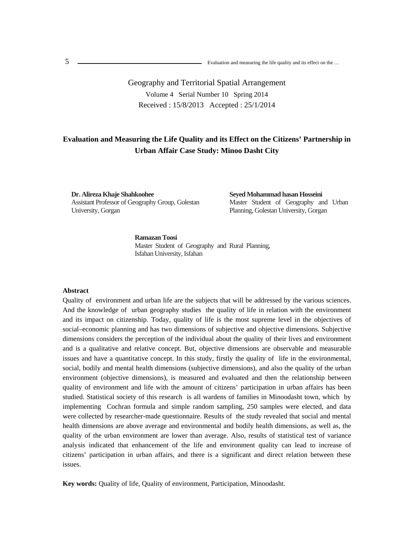n 5

> Geography and Territorial Spatial Arrangement Volume 4 Serial Number 10 Spring 2014 Received : 15/8/2013 Accepted : 25/1/2014

## **Evaluation and Measuring the Life Quality and its Effect on the Citizens' Partnership in Urban Affair Case Study: Minoo Dasht City**

**Dr. Alireza Khaje Shahkoohee**  Assistant Professor of Geography Group, Golestan University, Gorgan

**Seyed Mohammad hasan Hosseini**  Master Student of Geography and Urban Planning, Golestan University, Gorgan

**Ramazan Toosi**  Master Student of Geography and Rural Planning, Isfahan University, Isfahan

#### **Abstract**

Quality of environment and urban life are the subjects that will be addressed by the various sciences. And the knowledge of urban geography studies the quality of life in relation with the environment and its impact on citizenship. Today, quality of life is the most supreme level in the objectives of social–economic planning and has two dimensions of subjective and objective dimensions. Subjective dimensions considers the perception of the individual about the quality of their lives and environment and is a qualitative and relative concept. But, objective dimensions are observable and measurable issues and have a quantitative concept. In this study, firstly the quality of life in the environmental, social, bodily and mental health dimensions (subjective dimensions), and also the quality of the urban environment (objective dimensions), is measured and evaluated and then the relationship between quality of environment and life with the amount of citizens' participation in urban affairs has been studied. Statistical society of this research is all wardens of families in Minoodasht town, which by implementing Cochran formula and simple random sampling, 250 samples were elected, and data were collected by researcher-made questionnaire. Results of the study revealed that social and mental health dimensions are above average and environmental and bodily health dimensions, as well as, the quality of the urban environment are lower than average. Also, results of statistical test of variance analysis indicated that enhancement of the life and environment quality can lead to increase of citizens' participation in urban affairs, and there is a significant and direct relation between these issues.

**Key words:** Quality of life, Quality of environment, Participation, Minoodasht.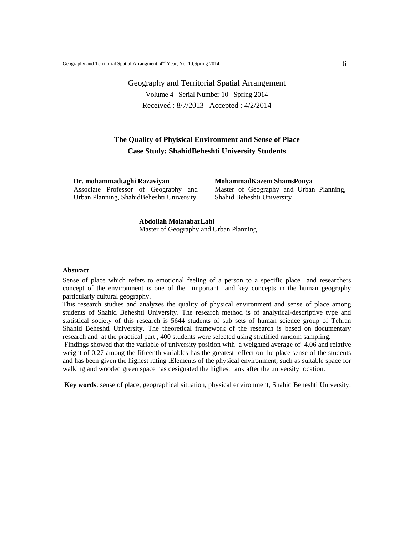# Geography and Territorial Spatial Arrangement Volume 4 Serial Number 10 Spring 2014 Received : 8/7/2013 Accepted : 4/2/2014

### **The Quality of Phyisical Environment and Sense of Place Case Study: ShahidBeheshti University Students**

**Dr. mohammadtaghi Razaviyan**  Associate Professor of Geography and Urban Planning, ShahidBeheshti University

**MohammadKazem ShamsPouya** 

Master of Geography and Urban Planning, Shahid Beheshti University

**Abdollah MolatabarLahi**  Master of Geography and Urban Planning

#### **Abstract**

Sense of place which refers to emotional feeling of a person to a specific place and researchers concept of the environment is one of the important and key concepts in the human geography particularly cultural geography.

This research studies and analyzes the quality of physical environment and sense of place among students of Shahid Beheshti University. The research method is of analytical-descriptive type and statistical society of this research is 5644 students of sub sets of human science group of Tehran Shahid Beheshti University. The theoretical framework of the research is based on documentary research and at the practical part , 400 students were selected using stratified random sampling.

 Findings showed that the variable of university position with a weighted average of 4.06 and relative weight of 0.27 among the fifteenth variables has the greatest effect on the place sense of the students and has been given the highest rating .Elements of the physical environment, such as suitable space for walking and wooded green space has designated the highest rank after the university location.

 **Key words**: sense of place, geographical situation, physical environment, Shahid Beheshti University.

6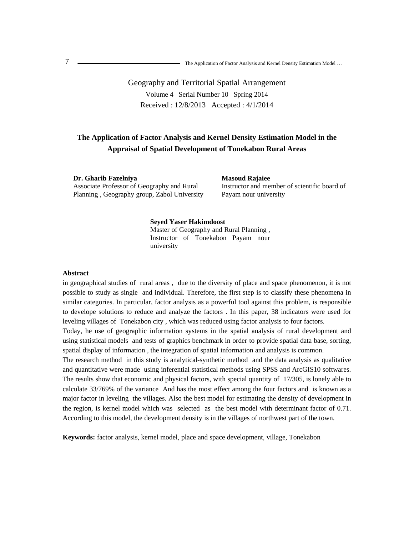# Geography and Territorial Spatial Arrangement Volume 4 Serial Number 10 Spring 2014 Received : 12/8/2013 Accepted : 4/1/2014

## **The Application of Factor Analysis and Kernel Density Estimation Model in the Appraisal of Spatial Development of Tonekabon Rural Areas**

**Dr. Gharib Fazelniya** Associate Professor of Geography and Rural Planning , Geography group, Zabol University **Masoud Rajaiee** Instructor and member of scientific board of Payam nour university

#### **Seyed Yaser Hakimdoost**

Master of Geography and Rural Planning , Instructor of Tonekabon Payam nour university

#### **Abstract**

in geographical studies of rural areas , due to the diversity of place and space phenomenon, it is not possible to study as single and individual. Therefore, the first step is to classify these phenomena in similar categories. In particular, factor analysis as a powerful tool against this problem, is responsible to develope solutions to reduce and analyze the factors . In this paper, 38 indicators were used for leveling villages of Tonekabon city , which was reduced using factor analysis to four factors.

Today, he use of geographic information systems in the spatial analysis of rural development and using statistical models and tests of graphics benchmark in order to provide spatial data base, sorting, spatial display of information , the integration of spatial information and analysis is common.

The research method in this study is analytical-synthetic method and the data analysis as qualitative and quantitative were made using inferential statistical methods using SPSS and ArcGIS10 softwares. The results show that economic and physical factors, with special quantity of 17/305, is lonely able to calculate 33/769% of the variance And has the most effect among the four factors and is known as a major factor in leveling the villages. Also the best model for estimating the density of development in the region, is kernel model which was selected as the best model with determinant factor of 0.71. According to this model, the development density is in the villages of northwest part of the town.

**Keywords:** factor analysis, kernel model, place and space development, village, Tonekabon